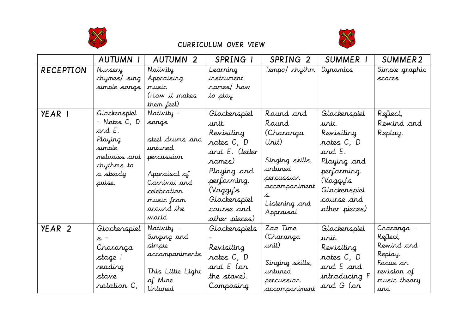



## CURRICULUM OVER VIEW

|                   | <b>AUTUMN I</b>                                                                                                 | <b>AUTUMN 2</b>                                                                                                                                     | SPRING I                                                                                                                                                               | SPRING <sub>2</sub>                                                                                                                       | SUMMER I                                                                                                                                             | SUMMER2                                                                                           |
|-------------------|-----------------------------------------------------------------------------------------------------------------|-----------------------------------------------------------------------------------------------------------------------------------------------------|------------------------------------------------------------------------------------------------------------------------------------------------------------------------|-------------------------------------------------------------------------------------------------------------------------------------------|------------------------------------------------------------------------------------------------------------------------------------------------------|---------------------------------------------------------------------------------------------------|
| <b>RECEPTION</b>  | Nursery<br>rhymes/ sing<br>simple songs                                                                         | Nativity<br>Appraising<br>music<br>(How it makes<br>them feel)                                                                                      | Learning<br>instrument<br>names/how<br>to play                                                                                                                         | Tempo/ rhythm                                                                                                                             | Dynamics                                                                                                                                             | Simple graphic<br>scores                                                                          |
| YEAR I            | Glockenspiel<br>- Notes C, D<br>and E.<br>Playing<br>simple<br>melodies and<br>xhythms to<br>a steady<br>pulse. | Nativity -<br>songs<br>steel drums and<br>untuned<br>percussion<br>Appraisal of<br>Carnival and<br>celebration<br>music from<br>around the<br>warld | Glockenspiel<br>urit.<br>Revisiting<br>notes C, D<br>and E. (letter<br>rames)<br>Playing and<br>performing.<br>(Voggy's<br>Glockenspiel<br>course and<br>other pieces) | Round and<br>Round<br>(Charanga<br>Urit)<br>Singing skills,<br>untuned<br>percussion<br>accompaniment<br>S.<br>Listening and<br>Appraisal | Glockenspiel<br>unit.<br>Revisiting<br>rotes C, D<br>and E.<br>Playing and<br>performing.<br>(Voggy's<br>Glockenspiel<br>course and<br>other pieces) | Reflect,<br>Rewind and<br>Replay.                                                                 |
| YEAR <sub>2</sub> | Glockenspiel<br>s -<br>Charanga<br>stage l<br>reading<br>stave<br>rotation C,                                   | Nativity -<br>Singing and<br>simple<br>accompaniments<br>This Little Light<br>of Mine<br>Untuned                                                    | Glockenspiels<br>Revisiting<br>notes C, D<br>and E (on<br>the stave).<br>Composing                                                                                     | Zoo Time<br>(Charanga<br>unit)<br>Singing skills,<br>untuned<br>percussion<br>accompariment                                               | Glockenspiel<br>unit.<br>Revisiting<br>rotes C, D<br>and E and<br>introducing F<br>and G (on                                                         | Charanga -<br>Reflect,<br>Rewind and<br>Replay.<br>Focus on<br>revision of<br>music theory<br>and |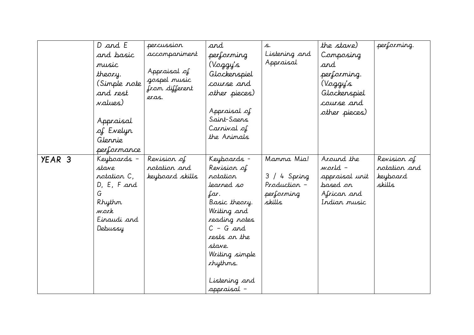|                   | D and E<br>and basic<br>music<br>theory.<br>(Simple <i>rot</i> e<br>and rest<br>values)<br>Appraisal<br>of Evelyr<br>Glennie<br>performance | percussion<br>accompaniment<br>Appraisal of<br>gospel music<br>from different<br>eras. | and<br>performing<br>(Voggy's<br>Glockenspiel<br>course and<br>other pieces)<br>Appraisal of<br>Saint-Saens<br>Carrival of<br>the Animals                                                                            | S.<br>Listening and<br>Appraisal                                      | the stave)<br>Composing<br>and<br>performing.<br>(Voggy's<br>Glockenspiel<br>course and<br>other pieces) | performing.                                       |
|-------------------|---------------------------------------------------------------------------------------------------------------------------------------------|----------------------------------------------------------------------------------------|----------------------------------------------------------------------------------------------------------------------------------------------------------------------------------------------------------------------|-----------------------------------------------------------------------|----------------------------------------------------------------------------------------------------------|---------------------------------------------------|
| YEAR <sub>3</sub> | Keyboards -<br>stave<br>rotation C,<br>D, E, F and<br>G<br>Rhythm<br>work<br>Einaudi and<br>Debussy                                         | Revision of<br>rotation and<br>keyboard skills                                         | Keyboards -<br>Revision of<br>notation<br>learned so<br>far.<br>Basic theory.<br>Writing and<br>reading notes<br>$C - G$ and<br>rests on the<br>stave.<br>Writing simple<br>thythms.<br>Listening and<br>appraisal – | Mamma Mia!<br>/ 4 Spring<br>3<br>Production -<br>performing<br>skills | Around the<br>world -<br>appraisal unit<br>based <i>o</i> r<br>African and<br>Indian music               | Revision of<br>rotation and<br>keyboard<br>skills |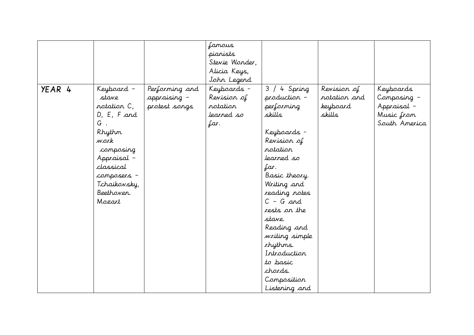|        |                                                                                                                                                                                   |                                                 | famous<br>pianists<br>Stevie Wonder,<br>Alicia Keys,<br>John Legend |                                                                                                                                                                                                                                                                                                                                      |                                                   |                                                                        |
|--------|-----------------------------------------------------------------------------------------------------------------------------------------------------------------------------------|-------------------------------------------------|---------------------------------------------------------------------|--------------------------------------------------------------------------------------------------------------------------------------------------------------------------------------------------------------------------------------------------------------------------------------------------------------------------------------|---------------------------------------------------|------------------------------------------------------------------------|
| YEAR 4 | Keyboard –<br>stave<br>notation C,<br>D, E, F, and<br>G.<br><i>Rhythm</i><br>work<br>composing<br>Appraisal -<br>classical<br>composers -<br>Tchaikovsky,<br>Beethoven.<br>Mozart | Performing and<br>appraising -<br>protest songs | Keyboards -<br>Revision of<br>rotation<br>learned so<br>far.        | 4 Spring<br>3/<br>production -<br>performing<br>skills<br>Keyboards -<br>Revision of<br>rotation<br>learned so<br>far.<br>Basic theory.<br>Writing and<br>reading notes<br>$C - G$ and<br>rests on the<br>stave.<br>Reading and<br>writing simple<br>rhythms.<br>Introduction<br>to basic<br>chards.<br>Composition<br>Listening and | Revision of<br>rotation and<br>keyboard<br>skills | Keyboards<br>Composing -<br>Appraisal -<br>Music from<br>South America |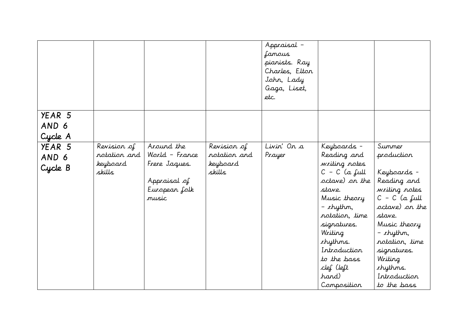|                            |                                                   |                                                                                         |                                                   | Appraisal -<br>famous<br>pianists. Ray<br>Charles, Elton<br>John, Lady<br>Gaga, Liszt,<br>etc. |                                                                                                                                                                                                                                                              |                                                                                                                                                                                                                                          |
|----------------------------|---------------------------------------------------|-----------------------------------------------------------------------------------------|---------------------------------------------------|------------------------------------------------------------------------------------------------|--------------------------------------------------------------------------------------------------------------------------------------------------------------------------------------------------------------------------------------------------------------|------------------------------------------------------------------------------------------------------------------------------------------------------------------------------------------------------------------------------------------|
| YEAR 5<br>AND 6<br>Cycle A |                                                   |                                                                                         |                                                   |                                                                                                |                                                                                                                                                                                                                                                              |                                                                                                                                                                                                                                          |
| YEAR 5<br>AND 6<br>Cycle B | Revision of<br>rotation and<br>keyboard<br>skills | Around the<br>World - France<br>Frere Jaques.<br>Appraisal of<br>European folk<br>music | Revision of<br>rotation and<br>keyboard<br>skills | Livin' On a<br>Prayer                                                                          | Keyboards -<br>Reading and<br>writing notes<br>$C - C$ (a full<br>octave) on the<br>stave.<br>Music theory<br>– <i>r</i> hythm,<br>rotation, time<br>signatures.<br>Writing<br>chythms.<br>Introduction<br>to the bass<br>clef (left<br>hand)<br>Composition | Summer<br>production<br>Keyboards -<br>Reading and<br>writing notes<br>$C - C$ (a full<br>octave) on the<br>stave.<br>Music theory<br>$-$ rhythm,<br>notation, time<br>signatures.<br>Writing<br>chythms.<br>Introduction<br>to the bass |